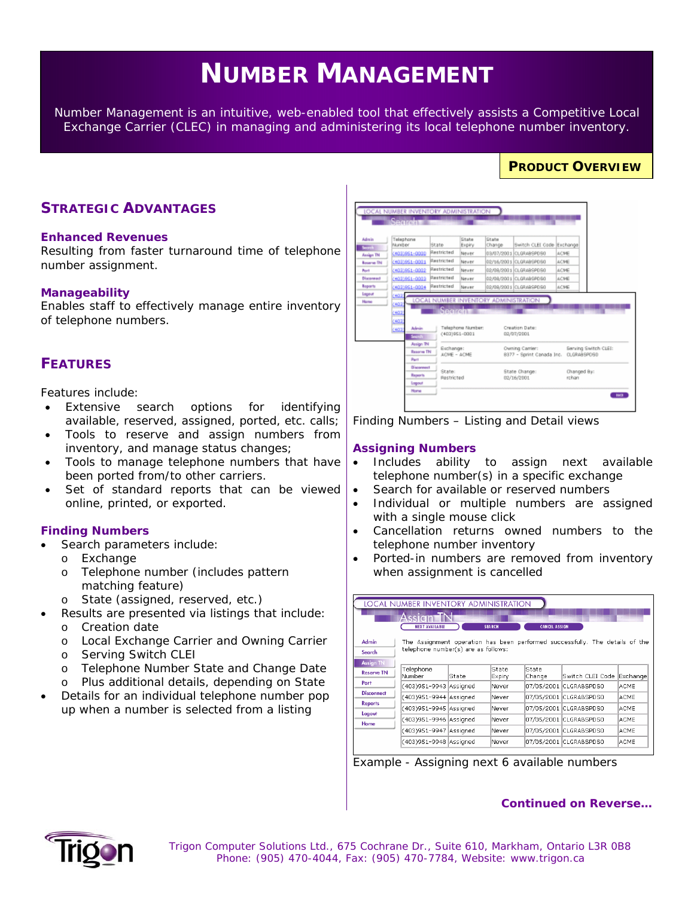# **NUMBER MANAGEMENT**

*Number Management is an intuitive, web-enabled tool that effectively assists a Competitive Local Exchange Carrier (CLEC) in managing and administering its local telephone number inventory.* 

# **STRATEGIC ADVANTAGES**

#### **Enhanced Revenues**

Resulting from faster turnaround time of telephone number assignment.

#### **Manageability**

Enables staff to effectively manage entire inventory of telephone numbers.

# **FEATURES**

Features include:

- Extensive search options for identifying available, reserved, assigned, ported, etc. calls;
- Tools to reserve and assign numbers from inventory, and manage status changes;
- Tools to manage telephone numbers that have been ported from/to other carriers.
- Set of standard reports that can be viewed online, printed, or exported.

### **Finding Numbers**

- Search parameters include:
	- o Exchange
	- o Telephone number (includes pattern matching feature)
	- o State (assigned, reserved, etc.)
	- Results are presented via listings that include:
	- o Creation date
	- o Local Exchange Carrier and Owning Carrier
	- o Serving Switch CLEI
	- o Telephone Number State and Change Date
	- o Plus additional details, depending on State
- Details for an individual telephone number pop up when a number is selected from a listing

| Telephone<br>Muniber<br>(403) 951-0000<br>(403) 961-0001<br>4031951-0002<br>(403) 951-0003<br>4031951-0004<br>407<br>(40) | State<br>Restricted<br>Restricted<br>Restricted<br>Restricted<br>Restricted | State<br>Expiry<br>Never<br>Never<br>Never<br>Never<br>Never | Chate<br>Change                               | Switch CLEI Code Exchange<br>03/07/2001 CLGRABSPDS0<br>02/16/2001 CLGRABSPDS0<br>02/08/2001 CLGRABSPDS0<br>02/09/2001 CLGRABSPDS0<br>02/09/2001 CLGRABSPDS0 | ACME<br>ACME<br>ACME.<br>ACME<br>ACME                       |  |  |
|---------------------------------------------------------------------------------------------------------------------------|-----------------------------------------------------------------------------|--------------------------------------------------------------|-----------------------------------------------|-------------------------------------------------------------------------------------------------------------------------------------------------------------|-------------------------------------------------------------|--|--|
|                                                                                                                           |                                                                             |                                                              |                                               |                                                                                                                                                             |                                                             |  |  |
| (407<br>(403)<br>Admin<br>(403)<br>Secrets                                                                                | Secretive 1                                                                 |                                                              | LOCAL NUMBER INVENTORY ADMINISTRATION         |                                                                                                                                                             |                                                             |  |  |
| Assign TN<br><b>Resorve TN</b><br>Part                                                                                    |                                                                             |                                                              |                                               | Owning Carrier:<br>Serving Switch CLEI:<br>8377 - Sprint Canada Inc. CLGRABSPOSD                                                                            |                                                             |  |  |
| <b>Discovered</b><br><b>Reports</b><br>Logout                                                                             | State:                                                                      | Restricted                                                   |                                               |                                                                                                                                                             | Changed By:<br>rchan                                        |  |  |
|                                                                                                                           | Home                                                                        |                                                              | $(403)961 - 0001$<br>Eschange:<br>ACME - ACME | Telephone Number:                                                                                                                                           | Creation Date:<br>02/07/2001<br>State Change:<br>02/16/2001 |  |  |

**PRODUCT OVERVIEW**

*Finding Numbers – Listing and Detail views* 

#### **Assigning Numbers**

- Includes ability to assign next available telephone number(s) in a specific exchange
- Search for available or reserved numbers
- Individual or multiple numbers are assigned with a single mouse click
- Cancellation returns owned numbers to the telephone number inventory
- Ported-in numbers are removed from inventory when assignment is cancelled

|                                                                                       | <b>LOCAL NUMBER INVENTORY ADMINISTRATION</b> |       |                 |                      |                        |             |  |  |  |  |  |  |
|---------------------------------------------------------------------------------------|----------------------------------------------|-------|-----------------|----------------------|------------------------|-------------|--|--|--|--|--|--|
|                                                                                       | Assian TN<br><b>NEXT AVAILABLE</b>           |       | <b>SEARCH</b>   | <b>CANCEL ASSIGN</b> |                        |             |  |  |  |  |  |  |
| Admin<br>The Assignment operation has been performed successfully. The details of the |                                              |       |                 |                      |                        |             |  |  |  |  |  |  |
| Search                                                                                | telephone number(s) are as follows:          |       |                 |                      |                        |             |  |  |  |  |  |  |
| <b>Assign TN</b>                                                                      |                                              |       |                 |                      |                        |             |  |  |  |  |  |  |
| <b>Reserve TN</b>                                                                     | Telephone<br>Number                          | State | State<br>Expiry | State<br>Change      | Switch CLEI Code       | Exchange    |  |  |  |  |  |  |
| Port                                                                                  | (403)951-9943 Assigned                       |       | Never           |                      | 07/05/2001 CLGRABSPDS0 | <b>ACME</b> |  |  |  |  |  |  |
| <b>Disconnect</b>                                                                     | (403)951-9944 Assigned                       |       | Never           |                      | 07/05/2001 CLGRABSPDS0 | <b>ACME</b> |  |  |  |  |  |  |
| <b>Reports</b>                                                                        | (403)951-9945 Assigned                       |       | lNever          |                      | 07/05/2001 CLGRABSPDS0 | ACME        |  |  |  |  |  |  |
| Logout                                                                                | (403)951-9946 Assigned                       |       | lNever          |                      | 07/05/2001 CLGRABSPDS0 | ACME        |  |  |  |  |  |  |
| Home                                                                                  | (403)951-9947 Assigned                       |       | Never           |                      | 07/05/2001 CLGRABSPDS0 | ACME        |  |  |  |  |  |  |
|                                                                                       | (403)951-9948 Assigned                       |       | Never           |                      | 07/05/2001 CLGRABSPDS0 | <b>ACME</b> |  |  |  |  |  |  |

*Example - Assigning next 6 available numbers*

### *Continued on Reverse…*



 *Trigon Computer Solutions Ltd., 675 Cochrane Dr., Suite 610, Markham, Ontario L3R 0B8 Phone: (905) 470-4044, Fax: (905) 470-7784, Website: www.trigon.ca*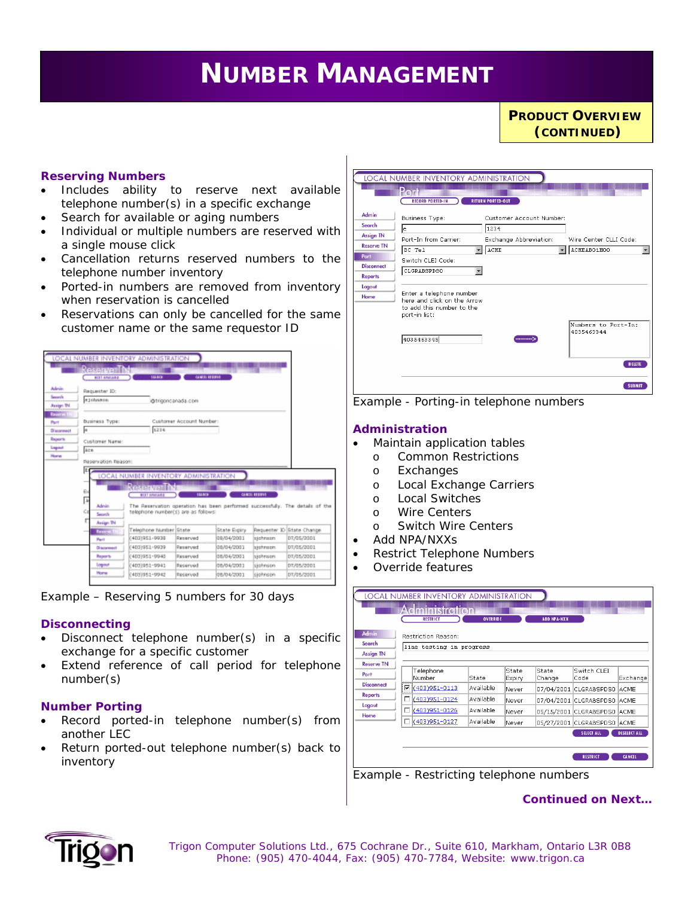# *Service Availability is a web-enabled tool that identifies the specific Digital Subscriber Line (DSL)*  **NUMBER MANAGEMENT**

**PRODUCT OVERVIEW** *(CONTINUED)*

#### **Reserving Numbers**

- Includes ability to reserve next available telephone number(s) in a specific exchange
- Search for available or aging numbers
- Individual or multiple numbers are reserved with a single mouse click
- Cancellation returns reserved numbers to the telephone number inventory
- Ported-in numbers are removed from inventory when reservation is cancelled
- Reservations can only be cancelled for the same customer name or the same requestor ID



*Example – Reserving 5 numbers for 30 days*

#### **Disconnecting**

- Disconnect telephone number(s) in a specific exchange for a specific customer
- Extend reference of call period for telephone number(s)

#### **Number Porting**

- Record ported-in telephone number(s) from another LEC
- Return ported-out telephone number(s) back to inventory



*Example - Porting-in telephone numbers* 

#### **Administration**

- Maintain application tables
- o Common Restrictions
- o Exchanges
- o Local Exchange Carriers
- o Local Switches
- o Wire Centers
- o Switch Wire Centers
- Add NPA/NXXs
- Restrict Telephone Numbers
- Override features



*Example - Restricting telephone numbers* 

*Continued on Next…*